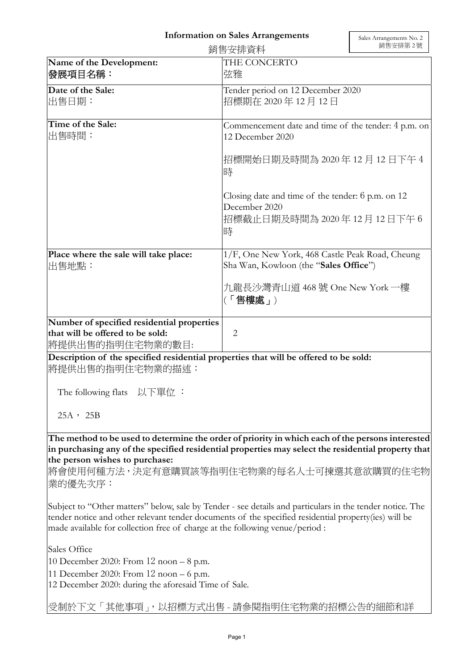## **Information on Sales Arrangements**

| 銷售安排資料                                                                                              |                                                                                                               | 銷售安排第2號 |
|-----------------------------------------------------------------------------------------------------|---------------------------------------------------------------------------------------------------------------|---------|
| Name of the Development:<br>發展項目名稱:                                                                 | THE CONCERTO<br>弦雅                                                                                            |         |
| Date of the Sale:<br>出售日期:                                                                          | Tender period on 12 December 2020<br>招標期在 2020年12月12日                                                         |         |
| Time of the Sale:<br>出售時間:                                                                          | Commencement date and time of the tender: 4 p.m. on<br>12 December 2020                                       |         |
|                                                                                                     | 招標開始日期及時間為 2020年12月12日下午4<br>時                                                                                |         |
|                                                                                                     | Closing date and time of the tender: $6$ p.m. on 12<br>December 2020<br> 招標截止日期及時間為 2020 年 12 月 12 日下午 6<br>時 |         |
| Place where the sale will take place:<br>出售地點:                                                      | 1/F, One New York, 468 Castle Peak Road, Cheung<br>Sha Wan, Kowloon (the "Sales Office")                      |         |
|                                                                                                     | 九龍長沙灣青山道 468 號 One New York 一樓<br>「售樓處」)                                                                      |         |
| Number of specified residential properties<br>that will be offered to be sold:<br> 將提供出售的指明住宅物業的數目: | $\overline{2}$                                                                                                |         |

**Description of the specified residential properties that will be offered to be sold:**  將提供出售的指明住宅物業的描述:

The following flats 以下單位 :

25A, 25B

**The method to be used to determine the order of priority in which each of the persons interested in purchasing any of the specified residential properties may select the residential property that the person wishes to purchase:** 

將會使用何種方法,決定有意購買該等指明住宅物業的每名人士可揀選其意欲購買的住宅物 業的優先次序:

Subject to "Other matters" below, sale by Tender - see details and particulars in the tender notice. The tender notice and other relevant tender documents of the specified residential property(ies) will be made available for collection free of charge at the following venue/period :

Sales Office

10 December 2020: From 12 noon – 8 p.m.

11 December 2020: From 12 noon – 6 p.m.

12 December 2020: during the aforesaid Time of Sale.

受制於下文「其他事項」,以招標方式出售 - 請參閱指明住宅物業的招標公告的細節和詳